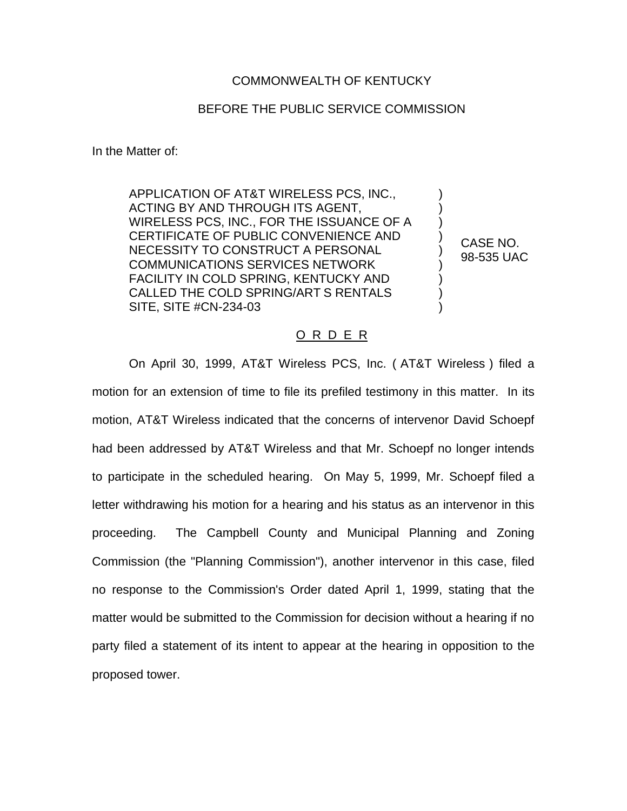## COMMONWEALTH OF KENTUCKY

## BEFORE THE PUBLIC SERVICE COMMISSION

In the Matter of:

APPLICATION OF AT&T WIRELESS PCS, INC., ACTING BY AND THROUGH ITS AGENT, WIRELESS PCS, INC., FOR THE ISSUANCE OF A CERTIFICATE OF PUBLIC CONVENIENCE AND NECESSITY TO CONSTRUCT A PERSONAL COMMUNICATIONS SERVICES NETWORK FACILITY IN COLD SPRING, KENTUCKY AND CALLED THE COLD SPRING/ART S RENTALS SITE, SITE #CN-234-03

CASE NO. 98-535 UAC

) ) ) ) ) ) ) ) )

## O R D E R

On April 30, 1999, AT&T Wireless PCS, Inc. ( AT&T Wireless ) filed a motion for an extension of time to file its prefiled testimony in this matter. In its motion, AT&T Wireless indicated that the concerns of intervenor David Schoepf had been addressed by AT&T Wireless and that Mr. Schoepf no longer intends to participate in the scheduled hearing. On May 5, 1999, Mr. Schoepf filed a letter withdrawing his motion for a hearing and his status as an intervenor in this proceeding. The Campbell County and Municipal Planning and Zoning Commission (the "Planning Commission"), another intervenor in this case, filed no response to the Commission's Order dated April 1, 1999, stating that the matter would be submitted to the Commission for decision without a hearing if no party filed a statement of its intent to appear at the hearing in opposition to the proposed tower.